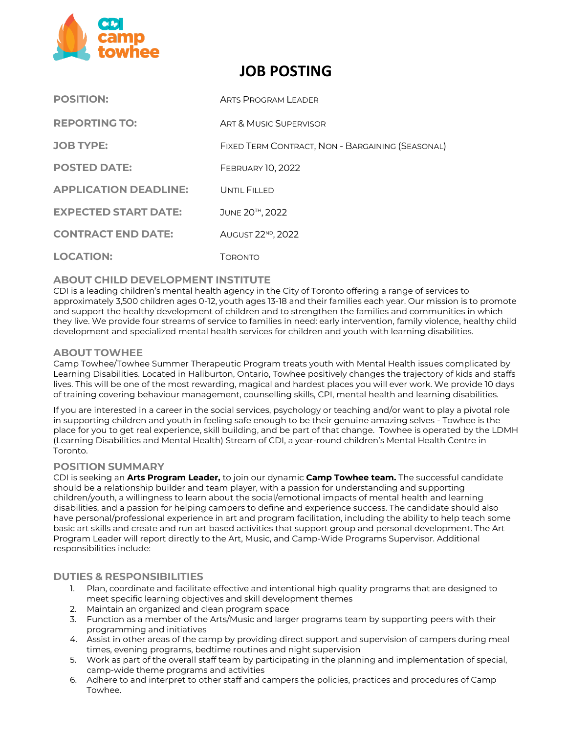

# **JOB POSTING**

| <b>POSITION:</b>             | <b>ARTS PROGRAM LEADER</b>                       |
|------------------------------|--------------------------------------------------|
| <b>REPORTING TO:</b>         | ART & MUSIC SUPERVISOR                           |
| <b>JOB TYPE:</b>             | FIXED TERM CONTRACT, NON - BARGAINING (SEASONAL) |
| <b>POSTED DATE:</b>          | <b>FEBRUARY 10, 2022</b>                         |
| <b>APPLICATION DEADLINE:</b> | UNTIL FILLED                                     |
| <b>EXPECTED START DATE:</b>  | JUNE 20TH, 2022                                  |
| <b>CONTRACT END DATE:</b>    | AUGUST 22 <sup>ND</sup> , 2022                   |
| <b>LOCATION:</b>             | TORONTO                                          |

# **ABOUT CHILD DEVELOPMENT INSTITUTE**

CDI is a leading children's mental health agency in the City of Toronto offering a range of services to approximately 3,500 children ages 0‐12, youth ages 13-18 and their families each year. Our mission is to promote and support the healthy development of children and to strengthen the families and communities in which they live. We provide four streams of service to families in need: early intervention, family violence, healthy child development and specialized mental health services for children and youth with learning disabilities.

# **ABOUT TOWHEE**

Camp Towhee/Towhee Summer Therapeutic Program treats youth with Mental Health issues complicated by Learning Disabilities. Located in Haliburton, Ontario, Towhee positively changes the trajectory of kids and staffs lives. This will be one of the most rewarding, magical and hardest places you will ever work. We provide 10 days of training covering behaviour management, counselling skills, CPI, mental health and learning disabilities.

If you are interested in a career in the social services, psychology or teaching and/or want to play a pivotal role in supporting children and youth in feeling safe enough to be their genuine amazing selves - Towhee is the place for you to get real experience, skill building, and be part of that change. Towhee is operated by the LDMH (Learning Disabilities and Mental Health) Stream of CDI, a year-round children's Mental Health Centre in Toronto.

## **POSITION SUMMARY**

CDI is seeking an **Arts Program Leader,** to join our dynamic **Camp Towhee team.** The successful candidate should be a relationship builder and team player, with a passion for understanding and supporting children/youth, a willingness to learn about the social/emotional impacts of mental health and learning disabilities, and a passion for helping campers to define and experience success. The candidate should also have personal/professional experience in art and program facilitation, including the ability to help teach some basic art skills and create and run art based activities that support group and personal development. The Art Program Leader will report directly to the Art, Music, and Camp-Wide Programs Supervisor. Additional responsibilities include:

# **DUTIES & RESPONSIBILITIES**

- 1. Plan, coordinate and facilitate effective and intentional high quality programs that are designed to meet specific learning objectives and skill development themes
- 2. Maintain an organized and clean program space
- 3. Function as a member of the Arts/Music and larger programs team by supporting peers with their programming and initiatives
- 4. Assist in other areas of the camp by providing direct support and supervision of campers during meal times, evening programs, bedtime routines and night supervision
- 5. Work as part of the overall staff team by participating in the planning and implementation of special, camp-wide theme programs and activities
- 6. Adhere to and interpret to other staff and campers the policies, practices and procedures of Camp Towhee.